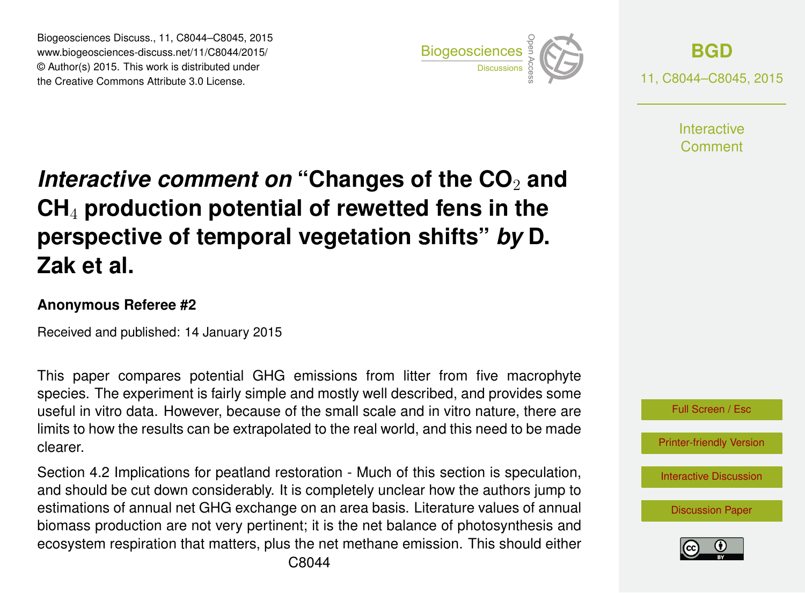Biogeosciences Discuss., 11, C8044–C8045, 2015 www.biogeosciences-discuss.net/11/C8044/2015/ © Author(s) 2015. This work is distributed under Biogeosciences Discuss., 11, C8044–C8045, 2015<br>www.biogeosciences-discuss.net/11/C8044/2015/<br>© Author(s) 2015. This work is distributed under<br>the Creative Commons Attribute 3.0 License.



**[BGD](http://www.biogeosciences-discuss.net)** 11, C8044–C8045, 2015

> **Interactive** Comment

## *Interactive comment on* "Changes of the CO<sub>2</sub> and **CH**<sup>4</sup> **production potential of rewetted fens in the perspective of temporal vegetation shifts"** *by* **D. Zak et al.**

## **Anonymous Referee #2**

Received and published: 14 January 2015

This paper compares potential GHG emissions from litter from five macrophyte species. The experiment is fairly simple and mostly well described, and provides some useful in vitro data. However, because of the small scale and in vitro nature, there are limits to how the results can be extrapolated to the real world, and this need to be made clearer.

Section 4.2 Implications for peatland restoration - Much of this section is speculation, and should be cut down considerably. It is completely unclear how the authors jump to estimations of annual net GHG exchange on an area basis. Literature values of annual biomass production are not very pertinent; it is the net balance of photosynthesis and ecosystem respiration that matters, plus the net methane emission. This should either